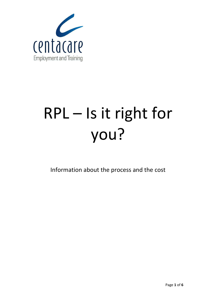

# RPL – Is it right for you?

Information about the process and the cost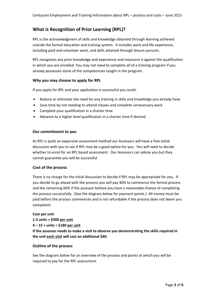# **What is Recognition of Prior Learning (RPL)?**

RPL is the acknowledgment of skills and knowledge obtained through learning achieved outside the formal education and training system. It includes work and life experience, including paid and volunteer work, and skills attained through leisure pursuits.

RPL recognises any prior knowledge and experience and measures it against the qualification in which you are enrolled. You may not need to complete all of a training program if you already possesses some of the competencies taught in the program.

# **Why you may choose to apply for RPL**

If you apply for RPL and your application is successful you could:

- Reduce or eliminate the need for any training in skills and knowledge you already have
- Save time by not needing to attend classes and complete unnecessary work
- Complete your qualification in a shorter time
- Advance to a higher level qualification in a shorter time if desired.

## **Our commitment to you**

As RPL is quite an expensive assessment method our Assessors will have a free initial discussion with you to see if RPL may be a good option for you. You will need to decide whether to enrol for an RPL based assessment. Our Assessors can advise you but they cannot guarantee you will be successful.

#### **Cost of the process**

There is no charge for the initial discussion to decide if RPL may be appropriate for you. If you decide to go ahead with the process you will pay 40% to commence the formal process and the remaining 60% if the assessor believe you have a reasonable chance of completing the process successfully. (See the diagram below for payment points.) All money must be paid before the process commences and is not refundable if the process does not deem you competent.

#### **Cost per unit**

**1-3 units = \$300 per unit 4 – 15 + units = \$180 per unit** 

**If the assessor needs to make a visit to observe you demonstrating the skills required in the unit each visit will cost an additional \$40.** 

#### **Outline of the process**

See the diagram below for an overview of the process and points at which you will be required to pay for the RPL assessment.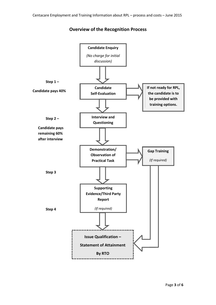

# **Overview of the Recognition Process**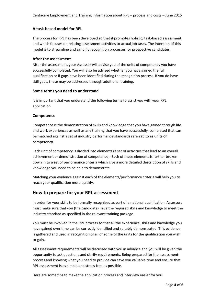# **A task-based model for RPL**

The process for RPL has been developed so that it promotes holistic, task-based assessment, and which focuses on relating assessment activities to actual job tasks. The intention of this model is to streamline and simplify recognition processes for prospective candidates.

## **After the assessment**

After the assessment, your Assessor will advise you of the units of competency you have successfully completed. You will also be advised whether you have gained the full qualification or if gaps have been identified during the recognition process. If you do have skill gaps, these may be addressed through additional training.

## **Some terms you need to understand**

It is important that you understand the following terms to assist you with your RPL application

## **Competence**

Competence is the demonstration of skills and knowledge that you have gained through life and work experiences as well as any training that you have successfully completed that can be matched against a set of industry performance standards referred to as **units of competency**.

Each unit of competency is divided into elements (a set of activities that lead to an overall achievement or demonstration of competence). Each of these elements is further broken down in to a set of performance criteria which give a more detailed description of skills and knowledge you need to be able to demonstrate.

Matching your evidence against each of the elements/performance criteria will help you to reach your qualification more quickly.

# **How to prepare for your RPL assessment**

In order for your skills to be formally recognised as part of a national qualification, Assessors must make sure that you (the candidate) have the required skills and knowledge to meet the industry standard as specified in the relevant training package.

You must be involved in the RPL process so that all the experience, skills and knowledge you have gained over time can be correctly identified and suitably demonstrated. This evidence is gathered and used in recognition of all or some of the units for the qualification you wish to gain.

All assessment requirements will be discussed with you in advance and you will be given the opportunity to ask questions and clarify requirements. Being prepared for the assessment process and knowing what you need to provide can save you valuable time and ensure that RPL assessment is as simple and stress-free as possible.

Here are some tips to make the application process and interview easier for you.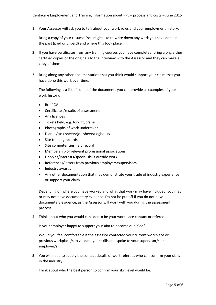1. Your Assessor will ask you to talk about your work roles and your employment history.

Bring a copy of your resume. You might like to write down any work you have done in the past (paid or unpaid) and where this took place.

- 2. If you have certificates from any training courses you have completed, bring along either certified copies or the originals to the interview with the Assessor and they can make a copy of them
- 3. Bring along any other documentation that you think would support your claim that you have done this work over time.

The following is a list of some of the documents you can provide as examples of your work history:

- Brief CV
- Certificates/results of assessment
- Any licences
- Tickets held, e.g. forklift, crane
- Photographs of work undertaken
- Diaries/task sheets/job sheets/logbooks
- Site training records
- Site competencies held record
- Membership of relevant professional associations
- Hobbies/interests/special skills outside work
- References/letters from previous employers/supervisors
- Industry awards
- Any other documentation that may demonstrate your trade of industry experience or support your claim.

Depending on where you have worked and what that work may have included, you may or may not have documentary evidence. Do not be put off if you do not have documentary evidence, as the Assessor will work with you during the assessment process.

4. Think about who you would consider to be your workplace contact or referee.

Is your employer happy to support your aim to become qualified?

Would you feel comfortable if the assessor contacted your current workplace or previous workplace/s to validate your skills and spoke to your supervisor/s or employer/s?

5. You will need to supply the contact details of work referees who can confirm your skills in the industry.

Think about who the best person to confirm your skill level would be.